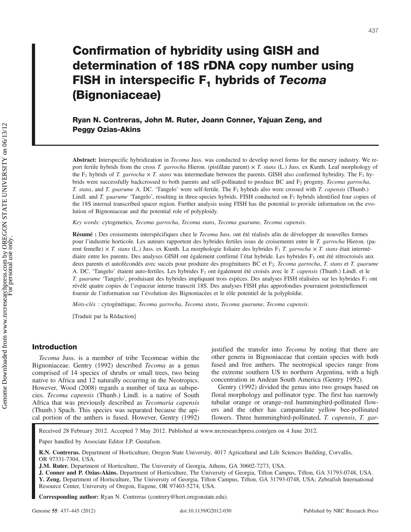# Confirmation of hybridity using GISH and determination of 18S rDNA copy number using FISH in interspecific  $F_1$  hybrids of Tecoma (Bignoniaceae)

Ryan N. Contreras, John M. Ruter, Joann Conner, Yajuan Zeng, and Peggy Ozias-Akins

Abstract: Interspecific hybridization in *Tecoma* Juss. was conducted to develop novel forms for the nursery industry. We report fertile hybrids from the cross T. garrocha Hieron. (pistillate parent)  $\times$  T. stans (L.) Juss. ex Kunth. Leaf morphology of the F<sub>1</sub> hybrids of T. garrocha  $\times$  T. stans was intermediate between the parents. GISH also confirmed hybridity. The F<sub>1</sub> hybrids were successfully backcrossed to both parents and self-pollinated to produce BC and  $F_2$  progeny. Tecoma garrocha, T. stans, and T. guarume A. DC. 'Tangelo' were self-fertile. The  $F_1$  hybrids also were crossed with T. capensis (Thunb.) Lindl. and T. guarume 'Tangelo', resulting in three-species hybrids. FISH conducted on F<sub>1</sub> hybrids identified four copies of the 18S internal transcribed spacer region. Further analysis using FISH has the potential to provide information on the evolution of Bignoniaceae and the potential role of polyploidy.

Key words: cytogenetics, Tecoma garrocha, Tecoma stans, Tecoma guarume, Tecoma capensis.

Résumé : Des croisements interspécifiques chez le Tecoma Juss. ont été réalisés afin de développer de nouvelles formes pour l'industrie horticole. Les auteurs rapportent des hybrides fertiles issus de croisements entre le T. garrocha Hieron. (parent femelle)  $\times$  T. stans (L.) Juss. ex Kunth. La morphologie foliaire des hybrides F<sub>1</sub> T. garrocha  $\times$  T. stans était intermédiaire entre les parents. Des analyses GISH ont également confirmé l'état hybride. Les hybrides F<sub>1</sub> ont été rétrocroisés aux deux parents et autofécondés avec succès pour produire des progénitures BC et F<sub>2</sub>. Tecoma garrocha, T. stans et T. guarume A. DC. 'Tangelo' étaient auto-fertiles. Les hybrides F<sub>1</sub> ont également été croisés avec le T. *capensis* (Thunb.) Lindl. et le T. guarume 'Tangelo', produisant des hybrides impliquant trois espèces. Des analyses FISH réalisées sur les hybrides F1 ont révélé quatre copies de l'espaceur interne transcrit 18S. Des analyses FISH plus approfondies pourraient potentiellement fournir de l'information sur l'évolution des Bignoniacées et le rôle potentiel de la polyploïdie.

Mots-clés : cytogénétique, Tecoma garrocha, Tecoma stans, Tecoma guarume, Tecoma capensis.

[Traduit par la Rédaction]

## Introduction

Tecoma Juss. is a member of tribe Tecomeae within the Bignoniaceae. Gentry (1992) described Tecoma as a genus comprised of 14 species of shrubs or small trees, two being native to Africa and 12 naturally occurring in the Neotropics. However, Wood (2008) regards a number of taxa as subspecies. Tecoma capensis (Thunb.) Lindl. is a native of South Africa that was previously described as Tecomaria capensis (Thunb.) Spach. This species was separated because the apical portion of the anthers is fused. However, Gentry (1992) justified the transfer into *Tecoma* by noting that there are other genera in Bignoniaceae that contain species with both fused and free anthers. The neotropical species range from the extreme southern US to northern Argentina, with a high concentration in Andean South America (Gentry 1992).

Gentry (1992) divided the genus into two groups based on floral morphology and pollinator type. The first has narrowly tubular orange or orange–red hummingbird-pollinated flowers and the other has campanulate yellow bee-pollinated flowers. Three hummingbird-pollinated, T. capensis, T. gar-

Received 28 February 2012. Accepted 7 May 2012. Published at www.nrcresearchpress.com/gen on 4 June 2012.

Paper handled by Associate Editor J.P. Gustafson.

R.N. Contreras. Department of Horticulture, Oregon State University, 4017 Agricultural and Life Sciences Building, Corvallis, OR 97331-7304, USA.

J.M. Ruter. Department of Horticulture, The University of Georgia, Athens, GA 30602-7273, USA.

J. Conner and P. Ozias-Akins. Department of Horticulture, The University of Georgia, Tifton Campus, Tifton, GA 31793-0748, USA. Y. Zeng. Department of Horticulture, The University of Georgia, Tifton Campus, Tifton, GA 31793-0748, USA; Zebrafish International Resource Center, University of Oregon, Eugene, OR 97403-5274, USA.

Corresponding author: Ryan N. Contreras (contrery@hort.oregonstate.edu).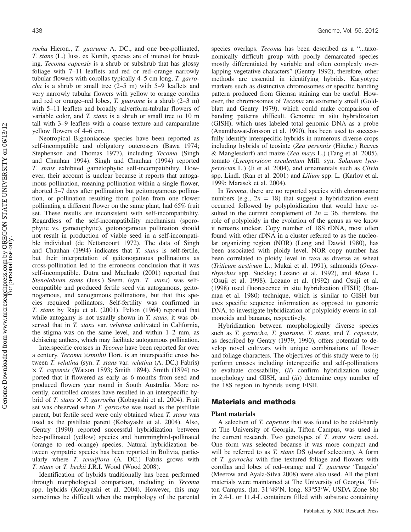rocha Hieron., T. guarume A. DC., and one bee-pollinated, T. stans (L.) Juss. ex Kunth, species are of interest for breeding. Tecoma capensis is a shrub or subshrub that has glossy foliage with 7–11 leaflets and red or red–orange narrowly tubular flowers with corollas typically 4–5 cm long, T. garro*cha* is a shrub or small tree  $(2–5 m)$  with  $5–9$  leaflets and very narrowly tubular flowers with yellow to orange corollas and red or orange–red lobes, T. guarume is a shrub (2–3 m) with 5–11 leaflets and broadly salverform-tubular flowers of variable color, and T. stans is a shrub or small tree to 10 m tall with 3–9 leaflets with a coarse texture and campanulate yellow flowers of 4–6 cm.

Neotropical Bignoniaceae species have been reported as self-incompatible and obligatory outcrossers (Bawa 1974; Stephenson and Thomas 1977), including Tecoma (Singh and Chauhan 1994). Singh and Chauhan (1994) reported T. stans exhibited gametophytic self-incompatibility. However, their account is unclear because it reports that autogamous pollination, meaning pollination within a single flower, aborted 5–7 days after pollination but geitonogamous pollination, or pollination resulting from pollen from one flower pollinating a different flower on the same plant, had 65% fruit set. These results are inconsistent with self-incompatibility. Regardless of the self-incompatibility mechanism (sporophytic vs. gametophytic), geitonogamous pollination should not result in production of viable seed in a self-incompatible individual (de Nettancourt 1972). The data of Singh and Chauhan (1994) indicates that T. stans is self-fertile, but their interpretation of geitonogamous pollinations as cross-pollination led to the erroneous conclusion that it was self-incompatible. Dutra and Machado (2001) reported that Stenolobium stans (Juss.) Seem. (syn. T. stans) was selfcompatible and produced fertile seed via autogamous, geitonogamous, and xenogamous pollinations, but that this species required pollinators. Self-fertility was confirmed in T. stans by Raju et al. (2001). Pelton (1964) reported that while autogamy is not usually shown in  $T$ . stans, it was observed that in T. stans var. velutina cultivated in California, the stigma was on the same level, and within 1–2 mm, as dehiscing anthers, which may facilitate autogamous pollination.

Interspecific crosses in Tecoma have been reported for over a century. Tecoma ×smithii Hort. is an interspecific cross between T. velutina (syn. T. stans var. velutina (A. DC.) Fabris)  $\times$  *T. capensis* (Watson 1893; Smith 1894). Smith (1894) reported that it flowered as early as 6 months from seed and produced flowers year round in South Australia. More recently, controlled crosses have resulted in an interspecific hybrid of T. stans  $\times$  T. garrocha (Kobayashi et al. 2004). Fruit set was observed when T. garrocha was used as the pistillate parent, but fertile seed were only obtained when T. stans was used as the pistillate parent (Kobayashi et al. 2004). Also, Gentry (1990) reported successful hybridization between bee-pollinated (yellow) species and hummingbird-pollinated (orange to red–orange) species. Natural hybridization between sympatric species has been reported in Bolivia, particularly where *T. tenuiflora* (A. DC.) Fabris grows with T. stans or T. beckii J.R.I. Wood (Wood 2008).

Identification of hybrids traditionally has been performed through morphological comparison, including in Tecoma spp. hybrids (Kobayashi et al. 2004). However, this may sometimes be difficult when the morphology of the parental species overlaps. Tecoma has been described as a "...taxonomically difficult group with poorly demarcated species mostly differentiated by variable and often complexly overlapping vegetative characters" (Gentry 1992), therefore, other methods are essential in identifying hybrids. Karyotype markers such as distinctive chromosomes or specific banding pattern produced from Giemsa staining can be useful. However, the chromosomes of *Tecoma* are extremely small (Goldblatt and Gentry 1979), which could make comparison of banding patterns difficult. Genomic in situ hybridization (GISH), which uses labeled total genomic DNA as a probe (Anamthawat-Jónsson et al. 1990), has been used to successfully identify interspecific hybrids in numerous diverse crops including hybrids of teosinte (Zea perennis (Hitchc.) Reeves & Manglesdorf) and maize (Zea mays L.) (Tang et al. 2005), tomato (Lycopersicon esculentum Mill. syn. Solanum lycopersicum L.) (Ji et al. 2004), and ornamentals such as Clivia spp. Lindl. (Ran et al. 2001) and Lilium spp. L. (Karlov et al. 1999; Marasek et al. 2004).

In Tecoma, there are no reported species with chromosome numbers (e.g.,  $2n = 18$ ) that suggest a hybridization event occurred followed by polyploidization that would have resulted in the current complement of  $2n = 36$ , therefore, the role of polyploidy in the evolution of the genus as we know it remains unclear. Copy number of 18S rDNA, most often found with other rDNA in a cluster referred to as the nucleolar organizing region (NOR) (Long and Dawid 1980), has been associated with ploidy level. NOR copy number has been correlated to ploidy level in taxa as diverse as wheat (Triticum aestivum L.; Mukai et al. 1991), salmonids (Oncorhynchus spp. Suckley; Lozano et al. 1992), and Musa L. (Osuji et al. 1998). Lozano et al. (1992) and Osuji et al. (1998) used fluorescence in situ hybridization (FISH) (Bauman et al. 1980) technique, which is similar to GISH but uses specific sequence information as opposed to genomic DNA, to investigate hybridization of polyploidy events in salmonoids and bananas, respectively.

Hybridization between morphologically diverse species such as *T. garrocha*, *T. guarume*, *T. stans*, and *T. capensis*, as described by Gentry (1979, 1990), offers potential to develop novel cultivars with unique combinations of flower and foliage characters. The objectives of this study were to  $(i)$ perform crosses including interspecific and self-pollinations to evaluate crossability, (ii) confirm hybridization using morphology and GISH, and (iii) determine copy number of the 18S region in hybrids using FISH.

## Materials and methods

#### Plant materials

A selection of T. capensis that was found to be cold-hardy at The University of Georgia, Tifton Campus, was used in the current research. Two genotypes of T. stans were used. One form was selected because it was more compact and will be referred to as *T. stans* DS (dwarf selection). A form of T. garrocha with fine textured foliage and flowers with corollas and lobes of red–orange and T. guarume 'Tangelo' (Meerow and Ayala-Silva 2008) were also used. All the plant materials were maintained at The University of Georgia, Tifton Campus, (lat. 31°49′N, long. 83°53′W, USDA Zone 8b) in 2.4-L or 11.4-L containers filled with substrate containing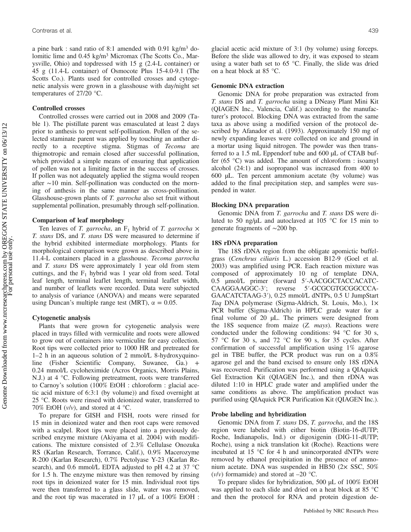a pine bark : sand ratio of 8:1 amended with  $0.91 \text{ kg/m}^3$  dolomitic lime and 0.45 kg/m<sup>3</sup> Micromax (The Scotts Co., Marysville, Ohio) and topdressed with 15 g (2.4-L container) or 45 g (11.4-L container) of Osmocote Plus 15-4.0-9.1 (The Scotts Co.). Plants used for controlled crosses and cytogenetic analysis were grown in a glasshouse with day/night set temperatures of 27/20 °C.

#### Controlled crosses

Controlled crosses were carried out in 2008 and 2009 (Table 1). The pistillate parent was emasculated at least 2 days prior to anthesis to prevent self-pollination. Pollen of the selected staminate parent was applied by touching an anther directly to a receptive stigma. Stigmas of Tecoma are thigmotropic and remain closed after successful pollination, which provided a simple means of ensuring that application of pollen was not a limiting factor in the success of crosses. If pollen was not adequately applied the stigma would reopen after ∼10 min. Self-pollination was conducted on the morning of anthesis in the same manner as cross-pollination. Glasshouse-grown plants of T. garrocha also set fruit without supplemental pollination, presumably through self-pollination.

#### Comparison of leaf morphology

Ten leaves of T. garrocha, an  $F_1$  hybrid of T. garrocha  $\times$ T. stans DS, and T. stans DS were measured to determine if the hybrid exhibited intermediate morphology. Plants for morphological comparison were grown as described above in 11.4-L containers placed in a glasshouse. Tecoma garrocha and T. stans DS were approximately 1 year old from stem cuttings, and the  $F_1$  hybrid was 1 year old from seed. Total leaf length, terminal leaflet length, terminal leaflet width, and number of leaflets were recorded. Data were subjected to analysis of variance (ANOVA) and means were separated using Duncan's multiple range test (MRT),  $\alpha = 0.05$ .

#### Cytogenetic analysis

Plants that were grown for cytogenetic analysis were placed in trays filled with vermiculite and roots were allowed to grow out of containers into vermiculite for easy collection. Root tips were collected prior to 1000 HR and pretreated for 1–2 h in an aqueous solution of 2 mmol/L 8-hydroxyquinoline (Fisher Scientific Company, Suwanee, Ga.) + 0.24 mmol/L cycloheximide (Acros Organics, Morris Plains, N.J.) at 4 °C. Following pretreatment, roots were transferred to Carnoy's solution (100% EtOH : chloroform : glacial acetic acid mixture of 6:3:1 (by volume)) and fixed overnight at 25 °C. Roots were rinsed with deionized water, transferred to 70% EtOH  $(v/v)$ , and stored at 4 °C.

To prepare for GISH and FISH, roots were rinsed for 15 min in deionized water and then root caps were removed with a scalpel. Root tips were placed into a previously described enzyme mixture (Akiyama et al. 2004) with modifications. The mixture consisted of 2.3% Cellulase Onozuka RS (Karlan Research, Torrance, Calif.), 0.9% Macerozyme R-200 (Karlan Research), 0.7% Pectolyase Y-23 (Karlan Research), and 0.6 mmol/L EDTA adjusted to pH 4.2 at 37 °C for 1.5 h. The enzyme mixture was then removed by rinsing root tips in deionized water for 15 min. Individual root tips were then transferred to a glass slide, water was removed, and the root tip was macerated in 17 µL of a 100% EtOH : glacial acetic acid mixture of 3:1 (by volume) using forceps. Before the slide was allowed to dry, it was exposed to steam using a water bath set to 65 °C. Finally, the slide was dried on a heat block at 85 °C.

#### Genomic DNA extraction

Genomic DNA for probe preparation was extracted from T. stans DS and T. garrocha using a DNeasy Plant Mini Kit (QIAGEN Inc., Valencia, Calif.) according to the manufacturer's protocol. Blocking DNA was extracted from the same taxa as above using a modified version of the protocol described by Afanador et al. (1993). Approximately 150 mg of newly expanding leaves were collected on ice and ground in a mortar using liquid nitrogen. The powder was then transferred to a 1.5 mL Eppendorf tube and 600 µL of CTAB buffer (65 °C) was added. The amount of chloroform : isoamyl alcohol (24:1) and isopropanol was increased from 400 to 600 µL. Ten percent ammonium acetate (by volume) was added to the final precipitation step, and samples were suspended in water.

#### Blocking DNA preparation

Genomic DNA from *T. garrocha* and *T. stans* DS were diluted to 50 ng/ $\mu$ L and autoclaved at 105 °C for 15 min to generate fragments of ∼200 bp.

#### 18S rDNA preparation

The 18S rDNA region from the obligate apomictic buffelgrass (Cenchrus ciliaris L.) accession B12-9 (Goel et al. 2003) was amplified using PCR. Each reaction mixture was composed of approximately 10 ng of template DNA, 0.5 µmol/L primer (forward 5′-AACGGCTACCACATC-CAAGGAAGGC-3′; reverse 5′-GCGCGTGCGGCCCA-GAACATCTAAG-3′), 0.25 mmol/L dNTPs, 0.5 U JumpStart Taq DNA polymerase (Sigma-Aldrich, St. Louis, Mo.), 1× PCR buffer (Sigma-Aldrich) in HPLC grade water for a final volume of 20 µL. The primers were designed from the  $18S$  sequence from maize  $(Z.$  mays). Reactions were conducted under the following conditions: 94 °C for 30 s, 57 °C for 30 s, and 72 °C for 90 s, for 35 cycles. After confirmation of successful amplification using 1% agarose gel in TBE buffer, the PCR product was run on a 0.8% agarose gel and the band excised to ensure only 18S rDNA was recovered. Purification was performed using a QIAquick Gel Extraction Kit (QIAGEN Inc.), and then rDNA was diluted 1:10 in HPLC grade water and amplified under the same conditions as above. The amplification product was purified using QIAquick PCR Purification Kit (QIAGEN Inc.).

#### Probe labeling and hybridization

Genomic DNA from *T. stans DS, T. garrocha*, and the 18S region were labeled with either biotin (Biotin-16-dUTP; Roche, Indianapolis, Ind.) or digoxigenin (DIG-11-dUTP; Roche), using a nick translation kit (Roche). Reactions were incubated at 15 °C for 4 h and unincorporated dNTPs were removed by ethanol precipitation in the presence of ammonium acetate. DNA was suspended in HB50 (2× SSC, 50%  $(v/v)$  formamide) and stored at  $-20$  °C.

To prepare slides for hybridization, 500 µL of 100% EtOH was applied to each slide and dried on a heat block at 85 °C and then the protocol for RNA and protein digestion de-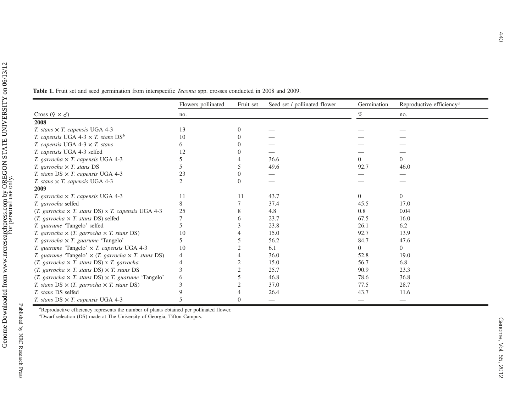**Table 1.** Fruit set and seed germination from interspecific *Tecoma* spp. crosses conducted in 2008 and 2009.

|                                                                                                      | Flowers pollinated | Fruit set | Seed set / pollinated flower | Germination | Reproductive efficiency <sup><math>a</math></sup> |
|------------------------------------------------------------------------------------------------------|--------------------|-----------|------------------------------|-------------|---------------------------------------------------|
| Cross $(2 \times \delta)$                                                                            | no.                |           |                              | %           | no.                                               |
| 2008                                                                                                 |                    |           |                              |             |                                                   |
| T. stans $\times$ T. capensis UGA 4-3                                                                | 13                 |           |                              |             |                                                   |
| <i>T. capensis</i> UGA 4-3 $\times$ <i>T. stans</i> DS <sup>b</sup>                                  | 10                 |           |                              |             |                                                   |
| T. capensis UGA 4-3 $\times$ T. stans                                                                |                    |           |                              |             |                                                   |
| T. capensis UGA 4-3 selfed                                                                           |                    |           |                              |             |                                                   |
| T. garrocha $\times$ T. capensis UGA 4-3                                                             |                    |           | 36.6                         |             | 0                                                 |
| T. garrocha $\times$ T. stans DS                                                                     |                    |           | 49.6                         | 92.7        | 46.0                                              |
| T. stans $DS \times T$ . capensis UGA 4-3                                                            | 23                 |           |                              |             |                                                   |
| T. stans $\times$ T. capensis UGA 4-3                                                                |                    | $\Omega$  |                              |             |                                                   |
| 2009                                                                                                 |                    |           |                              |             |                                                   |
| T. garrocha $\times$ T. capensis UGA 4-3                                                             | 11                 | 11        | 43.7                         | $\Omega$    | $\Omega$                                          |
| T. garrocha selfed                                                                                   |                    |           | 37.4                         | 45.5        | 17.0                                              |
| $(T. \quad \text{garrocha} \times T. \quad \text{stans DS}) \times T. \quad \text{capensis UGA 4-3}$ | 25                 |           | 4.8                          | 0.8         | 0.04                                              |
| $(T. \, \text{garrocha} \times T. \, \text{stans DS})$ selfed                                        |                    | 6         | 23.7                         | 67.5        | 16.0                                              |
| T. guarume 'Tangelo' selfed                                                                          |                    |           | 23.8                         | 26.1        | 6.2                                               |
| T. garrocha $\times$ (T. garrocha $\times$ T. stans DS)                                              | 10                 |           | 15.0                         | 92.7        | 13.9                                              |
| T. garrocha $\times$ T. guarume 'Tangelo'                                                            |                    |           | 56.2                         | 84.7        | 47.6                                              |
| T. guarume 'Tangelo' $\times$ T. capensis UGA 4-3                                                    | 10                 |           | 6.1                          |             | 0                                                 |
| T. guarume 'Tangelo' $\times$ (T. garrocha $\times$ T. stans DS)                                     | 4                  |           | 36.0                         | 52.8        | 19.0                                              |
| $(T. \ garrow \times T. \ stans DS) \times T. \ garrow \text{arrocha}$                               | $\overline{4}$     |           | 15.0                         | 56.7        | 6.8                                               |
| (T. garrocha $\times$ T. stans DS) $\times$ T. stans DS                                              |                    |           | 25.7                         | 90.9        | 23.3                                              |
| (T. garrocha $\times$ T. stans DS) $\times$ T. guarume 'Tangelo'                                     | 6                  |           | 46.8                         | 78.6        | 36.8                                              |
| T. stans $DS \times (T. \; garrocha \times T. \; stans \; DS)$                                       | 3                  |           | 37.0                         | 77.5        | 28.7                                              |
| T. stans DS selfed                                                                                   |                    |           | 26.4                         | 43.7        | 11.6                                              |
| T. stans $DS \times T$ . capensis UGA 4-3                                                            |                    | $\Omega$  | $\overline{\phantom{a}}$     |             |                                                   |

<sup>a</sup>Reproductive efficiency represents the number of plants obtained per pollinated flower.

 $b$ Dwarf selection (DS) made at The University of Georgia, Tifton Campus.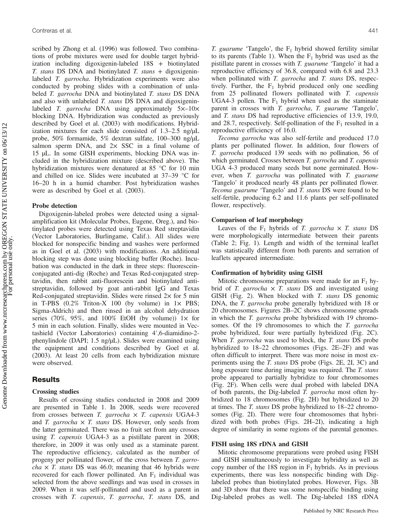scribed by Zhong et al. (1996) was followed. Two combinations of probe mixtures were used for double target hybridization including digoxigenin-labeled 18S + biotinylated T. stans DS DNA and biotinylated T. stans + digoxigeninlabeled *T. garrocha*. Hybridization experiments were also conducted by probing slides with a combination of unlabeled *T. garrocha* DNA and biotinylated *T. stans* DS DNA and also with unlabeled T. stans DS DNA and digoxigeninlabeled T. garrocha DNA using approximately  $5\times$ -10× blocking DNA. Hybridization was conducted as previously described by Goel et al. (2003) with modifications. Hybridization mixtures for each slide consisted of 1.3–2.5 ng/µL probe, 50% formamide, 5% dextran sulfate, 100–300 ng/µL salmon sperm DNA, and  $2 \times$  SSC in a final volume of 15 µL. In some GISH experiments, blocking DNA was included in the hybridization mixture (described above). The hybridization mixtures were denatured at 85 °C for 10 min and chilled on ice. Slides were incubated at 37–39 °C for 16–20 h in a humid chamber. Post hybridization washes were as described by Goel et al. (2003).

#### Probe detection

Digoxigenin-labeled probes were detected using a signalamplification kit (Molecular Probes, Eugene, Oreg.), and biotinylated probes were detected using Texas Red streptavidin (Vector Laboratories, Burlingame, Calif.). All slides were blocked for nonspecific binding and washes were performed as in Goel et al. (2003) with modifications. An additional blocking step was done using blocking buffer (Roche). Incubation was conducted in the dark in three steps: fluoresceinconjugated anti-dig (Roche) and Texas Red-conjugated streptavidin, then rabbit anti-fluorescein and biotinylated antistreptavidin, followed by goat anti-rabbit IgG and Texas Red-conjugated streptavidin. Slides were rinsed  $2\times$  for 5 min in T-PBS  $(0.2\%$  Triton-X 100 (by volume) in  $1 \times$  PBS; Sigma-Aldrich) and then rinsed in an alcohol dehydration series (70%, 95%, and 100% EtOH (by volume))  $1 \times$  for 5 min in each solution. Finally, slides were mounted in Vectashield (Vector Laboratories) containing 4′,6-diamidino-2 phenylindole (DAPI; 1.5 ng/µL). Slides were examined using the equipment and conditions described by Goel et al. (2003). At least 20 cells from each hybridization mixture were observed.

## Results

#### Crossing studies

Results of crossing studies conducted in 2008 and 2009 are presented in Table 1. In 2008, seeds were recovered from crosses between T. garrocha  $\times$  T. capensis UGA4-3 and T. garrocha  $\times$  T. stans DS. However, only seeds from the latter germinated. There was no fruit set from any crosses using *T. capensis* UGA4-3 as a pistillate parent in 2008; therefore, in 2009 it was only used as a staminate parent. The reproductive efficiency, calculated as the number of progeny per pollinated flower, of the cross between T. garro*cha*  $\times$  *T. stans* DS was 46.0; meaning that 46 hybrids were recovered for each flower pollinated. An  $F_1$  individual was selected from the above seedlings and was used in crosses in 2009. When it was self-pollinated and used as a parent in crosses with T. capensis, T. garrocha, T. stans DS, and T. guarume 'Tangelo', the  $F_1$  hybrid showed fertility similar to its parents (Table 1). When the  $F_1$  hybrid was used as the pistillate parent in crosses with T. guarume 'Tangelo' it had a reproductive efficiency of 36.8, compared with 6.8 and 23.3 when pollinated with *T. garrocha* and *T. stans* DS, respectively. Further, the  $F_1$  hybrid produced only one seedling from 25 pollinated flowers pollinated with T. capensis UGA4-3 pollen. The  $F_1$  hybrid when used as the staminate parent in crosses with T. garrocha, T. guarume 'Tangelo', and T. stans DS had reproductive efficiencies of 13.9, 19.0, and 28.7, respectively. Self-pollination of the  $F_1$  resulted in a reproductive efficiency of 16.0.

Tecoma garrocha was also self-fertile and produced 17.0 plants per pollinated flower. In addition, four flowers of T. garrocha produced 139 seeds with no pollination, 56 of which germinated. Crosses between *T. garrocha* and *T. capensis* UGA 4-3 produced many seeds but none germinated. However, when T. garrocha was pollinated with T. guarume 'Tangelo' it produced nearly 48 plants per pollinated flower. Tecoma guarume 'Tangelo' and T. stans DS were found to be self-fertile, producing 6.2 and 11.6 plants per self-pollinated flower, respectively.

#### Comparison of leaf morphology

Leaves of the  $F_1$  hybrids of T. garrocha  $\times$  T. stans DS were morphologically intermediate between their parents (Table 2; Fig. 1). Length and width of the terminal leaflet was statistically different from both parents and serration of leaflets appeared intermediate.

#### Confirmation of hybridity using GISH

Mitotic chromosome preparations were made for an  $F_1$  hybrid of T. garrocha  $\times$  T. stans DS and investigated using GISH (Fig. 2). When blocked with T. stans DS genomic DNA, the *T. garrocha* probe generally hybridized with 18 or 20 chromosomes. Figures 2B–2C shows chromosome spreads in which the *T. garrocha* probe hybridized with 19 chromosomes. Of the 19 chromosomes to which the T. garrocha probe hybridized, four were partially hybridized (Fig. 2C). When *T. garrocha* was used to block, the *T. stans* DS probe hybridized to 18–22 chromosomes (Figs. 2E–2F) and was often difficult to interpret. There was more noise in most experiments using the T. stans DS probe (Figs. 2E, 2I, 3C) and long exposure time during imaging was required. The T. stans probe appeared to partially hybridize to four chromosomes (Fig. 2F). When cells were dual probed with labeled DNA of both parents, the Dig-labeled T. garrocha most often hybridized to 18 chromosomes (Fig. 2H) but hybridized to 20 at times. The T. stans DS probe hybridized to 18–22 chromosomes (Fig. 2I). There were four chromosomes that hybridized with both probes (Figs. 2H–2I), indicating a high degree of similarity in some regions of the parental genomes.

#### FISH using 18S rDNA and GISH

Mitotic chromosome preparations were probed using FISH and GISH simultaneously to investigate hybridity as well as copy number of the 18S region in  $F_1$  hybrids. As in previous experiments, there was less nonspecific binding with Diglabeled probes than biotinylated probes. However, Figs. 3B and 3D show that there was some nonspecific binding using Dig-labeled probes as well. The Dig-labeled 18S rDNA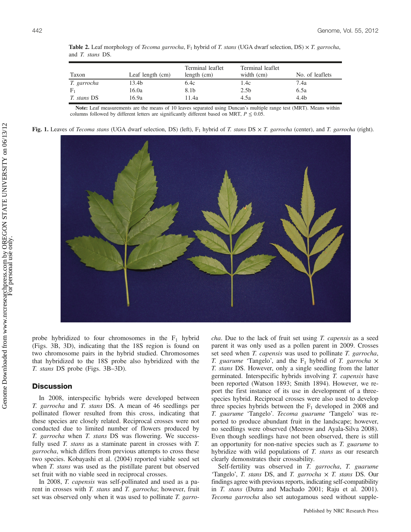| Taxon              | Leaf length $(cm)$ | Terminal leaflet<br>length $(cm)$ | Terminal leaflet<br>width (cm) | No. of leaflets |
|--------------------|--------------------|-----------------------------------|--------------------------------|-----------------|
| T. garrocha        | 13.4b              | 6.4c                              | 1.4c                           | 7.4a            |
| $F_1$              | 16.0a              | 8.1b                              | 2.5 <sub>b</sub>               | 6.5a            |
| <i>T. stans DS</i> | 16.9a              | 11.4a                             | 4.5a                           | 4.4b            |

**Table 2.** Leaf morphology of *Tecoma garrocha*,  $F_1$  hybrid of *T. stans* (UGA dwarf selection, DS)  $\times$  *T. garrocha*, and T. stans DS.

Note: Leaf measurements are the means of 10 leaves separated using Duncan's multiple range test (MRT). Means within columns followed by different letters are significantly different based on MRT,  $P \le 0.05$ .

Fig. 1. Leaves of Tecoma stans (UGA dwarf selection, DS) (left),  $F_1$  hybrid of T. stans DS  $\times$  T. garrocha (center), and T. garrocha (right).



probe hybridized to four chromosomes in the  $F_1$  hybrid (Figs. 3B, 3D), indicating that the 18S region is found on two chromosome pairs in the hybrid studied. Chromosomes that hybridized to the 18S probe also hybridized with the T. stans DS probe (Figs. 3B–3D).

#### **Discussion**

In 2008, interspecific hybrids were developed between T. garrocha and T. stans DS. A mean of 46 seedlings per pollinated flower resulted from this cross, indicating that these species are closely related. Reciprocal crosses were not conducted due to limited number of flowers produced by T. garrocha when T. stans DS was flowering. We successfully used T. stans as a staminate parent in crosses with T. garrocha, which differs from previous attempts to cross these two species. Kobayashi et al. (2004) reported viable seed set when *T. stans* was used as the pistillate parent but observed set fruit with no viable seed in reciprocal crosses.

In 2008, T. capensis was self-pollinated and used as a parent in crosses with *T. stans* and *T. garrocha*; however, fruit set was observed only when it was used to pollinate T. garrocha. Due to the lack of fruit set using T. capensis as a seed parent it was only used as a pollen parent in 2009. Crosses set seed when T. capensis was used to pollinate T. garrocha, T. guarume 'Tangelo', and the  $F_1$  hybrid of T. garrocha  $\times$ T. stans DS. However, only a single seedling from the latter germinated. Interspecific hybrids involving T. capensis have been reported (Watson 1893; Smith 1894). However, we report the first instance of its use in development of a threespecies hybrid. Reciprocal crosses were also used to develop three species hybrids between the  $F_1$  developed in 2008 and T. guarume 'Tangelo'. Tecoma guarume 'Tangelo' was reported to produce abundant fruit in the landscape; however, no seedlings were observed (Meerow and Ayala-Silva 2008). Even though seedlings have not been observed, there is still an opportunity for non-native species such as T. guarume to hybridize with wild populations of T. *stans* as our research clearly demonstrates their crossability.

Self-fertility was observed in T. garrocha, T. guarume 'Tangelo', T. stans DS, and T. garrocha  $\times$  T. stans DS. Our findings agree with previous reports, indicating self-compatibility in T. stans (Dutra and Machado 2001; Raju et al. 2001). Tecoma garrocha also set autogamous seed without supple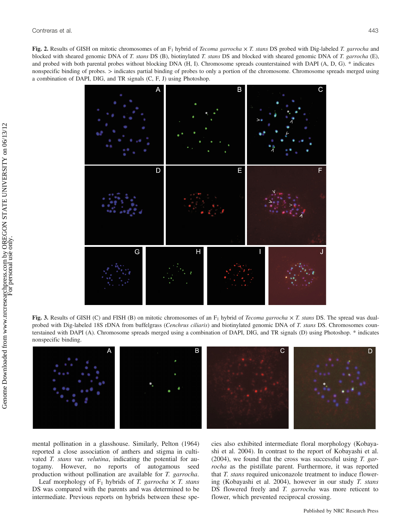Fig. 2. Results of GISH on mitotic chromosomes of an  $F_1$  hybrid of *Tecoma garrocha*  $\times$  *T. stans* DS probed with Dig-labeled *T. garrocha* and blocked with sheared genomic DNA of T. stans DS (B), biotinylated T. stans DS and blocked with sheared genomic DNA of T. garrocha (E), and probed with both parental probes without blocking DNA (H, I). Chromosome spreads counterstained with DAPI (A, D, G). \* indicates nonspecific binding of probes. > indicates partial binding of probes to only a portion of the chromosome. Chromosome spreads merged using a combination of DAPI, DIG, and TR signals (C, F, J) using Photoshop.



Fig. 3. Results of GISH (C) and FISH (B) on mitotic chromosomes of an  $F_1$  hybrid of *Tecoma garrocha*  $\times$  *T. stans* DS. The spread was dualprobed with Dig-labeled 18S rDNA from buffelgrass (Cenchrus ciliaris) and biotinylated genomic DNA of T. stans DS. Chromosomes counterstained with DAPI (A). Chromosome spreads merged using a combination of DAPI, DIG, and TR signals (D) using Photoshop. \* indicates nonspecific binding.



mental pollination in a glasshouse. Similarly, Pelton (1964) reported a close association of anthers and stigma in cultivated *T. stans* var. *velutina*, indicating the potential for autogamy. However, no reports of autogamous seed production without pollination are available for T. garrocha.

Leaf morphology of  $F_1$  hybrids of T. garrocha  $\times$  T. stans DS was compared with the parents and was determined to be intermediate. Previous reports on hybrids between these species also exhibited intermediate floral morphology (Kobayashi et al. 2004). In contrast to the report of Kobayashi et al.  $(2004)$ , we found that the cross was successful using T. garrocha as the pistillate parent. Furthermore, it was reported that T. stans required uniconazole treatment to induce flowering (Kobayashi et al. 2004), however in our study T. stans DS flowered freely and *T. garrocha* was more reticent to flower, which prevented reciprocal crossing.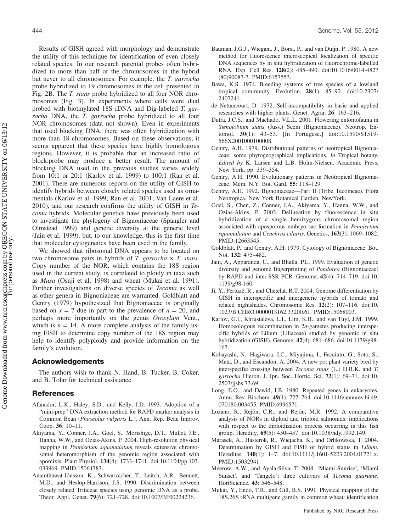444 Genome, Vol. 55, 2012

Results of GISH agreed with morphology and demonstrate the utility of this technique for identification of even closely related species. In our research parental probes often hybridized to more than half of the chromosomes in the hybrid but never to all chromosomes. For example, the T. garrocha probe hybridized to 19 chromosomes in the cell presented in Fig. 2B. The T. stans probe hybridized to all four NOR chromosomes (Fig. 3). In experiments where cells were dual probed with biotinylated 18S rDNA and Dig-labeled T. garrocha DNA, the T. garrocha probe hybridized to all four NOR chromosomes (data not shown). Even in experiments that used blocking DNA, there was often hybridization with more than 18 chromosomes. Based on these observations, it seems apparent that these species have highly homologous regions. However, it is probable that an increased ratio of block:probe may produce a better result. The amount of blocking DNA used in the previous studies varies widely from 10:1 or 20:1 (Karlov et al. 1999) to 100:1 (Ran et al. 2001). There are numerous reports on the utility of GISH to identify hybrids between closely related species used as ornamentals (Karlov et al. 1999; Ran et al. 2001; Van Laere et al. 2010), and our research confirms the utility of GISH in Tecoma hybrids. Molecular genetics have previously been used to investigate the phylogeny of Bignoniaceae (Spangler and Olmstead 1999) and genetic diversity at the generic level (Jain et al. 1999), but, to our knowledge, this is the first time that molecular cytogenetics have been used in the family.

We showed that ribosomal DNA appears to be located on two chromosome pairs in hybrids of T. garrocha  $\times$  T. stans. Copy number of the NOR, which contains the 18S region used in the current study, is correlated to ploidy in taxa such as Musa (Osuji et al. 1998) and wheat (Mukai et al. 1991). Further investigations on diverse species of Tecoma as well as other genera in Bignoniaceae are warranted. Goldblatt and Gentry (1979) hypothesized that Bignoniaceae is originally based on  $x = 7$  due in part to the prevalence of  $n = 20$ , and perhaps more importantly on the genus Oroxylum Vent., which is  $n = 14$ . A more complete analysis of the family using FISH to determine copy number of the 18S region may help to identify polyploidy and provide information on the family's evolution.

## Acknowledgements

The authors wish to thank N. Hand, B. Tucker, B. Coker, and B. Tolar for technical assistance.

# References

- Afanador, L.K., Haley, S.D., and Kelly, J.D. 1993. Adoption of a "mini-prep" DNA extraction method for RAPD marker analysis in Common Bean (Phaseolus vulgaris L.). Ann. Rep. Bean Improv. Coop. 36: 10–11.
- Akiyama, Y., Conner, J.A., Goel, S., Morishige, D.T., Mullet, J.E., Hanna, W.W., and Ozias-Akins, P. 2004. High-resolution physical mapping in *Pennisetum squamulatum* reveals extensive chromosomal heteromorphism of the genomic region associated with apomixis. Plant Physiol. 134(4): 1733–1741. doi:10.1104/pp.103. 033969. PMID:15064383.
- Anamthawat-Jónsson, K., Schwarzacher, T., Leitch, A.R., Bennett, M.D., and Heslop-Harrison, J.S. 1990. Discrimination between closely related Triticeae species using genomic DNA as a probe. Theor. Appl. Genet. 79(6): 721–728. doi:10.1007/BF00224236.
- Bauman, J.G.J., Wiegant, J., Borst, P., and van Duijn, P. 1980. A new method for fluorescence microscopical localization of specific DNA sequences by in situ hybridization of fluorochrome-labelled RNA. Exp. Cell Res. 128(2): 485–490. doi:10.1016/0014-4827 (80)90087-7. PMID:6157553.
- Bawa, K.S. 1974. Breeding systems of tree species of a lowland tropical community. Evolution, 28(1): 85–92. doi:10.2307/ 2407241.
- de Nettancourt, D. 1972. Self-incompatibility in basic and applied researches with higher plants. Genet. Agrar. 26: 163–216.
- Dutra, J.C.S., and Machado, V.L.L. 2001. Flowering entomofauna in Stenolobium stans (Juss.) Seem (Bignoniaceae). Neotrop. Entomol. 30(1): 43–53. [In Portugese.] doi:10.1590/S1519- 566X2001000100008.
- Gentry, A.H. 1979. Distributional patterns of neotropical Bignoniaceae: some phytogeographical implications. In Tropical botany. Edited by K. Larsen and L.B. Holm-Nielsen. Academic Press, New York. pp. 339–354.
- Gentry, A.H. 1990. Evolutionary patterns in Neotropical Bignoniaceae. Mem. N.Y. Bot. Gard. 55: 118–129.
- Gentry, A.H. 1992. Bignoniaceae—Part II (Tribe Tecomeae). Flora Neotropica. New York Botanical Garden, NewYork.
- Goel, S., Chen, Z., Conner, J.A., Akiyama, Y., Hanna, W.W., and Ozias-Akins, P. 2003. Delineation by fluorescence in situ hybridization of a single hemizygous chromosomal region associated with aposporous embryo sac formation in Pennisetum squamulatum and Cenchrus ciliaris. Genetics, 163(3): 1069–1082. PMID:12663545.
- Goldblatt, P., and Gentry, A.H. 1979. Cytology of Bignoniaceae. Bot. Not. 132: 475–482.
- Jain, A., Apparanda, C., and Bhalla, P.L. 1999. Evaluation of genetic diversity and genome fingerprinting of Pandorea (Bignoniaceae) by RAPD and inter-SSR PCR. Genome, 42(4): 714–719. doi:10. 1139/g98-160.
- Ji, Y., Pertuzé, R., and Chetelat, R.T. 2004. Genome differentiation by GISH in interspecific and intergeneric hybrids of tomato and related nightshades. Chromosome Res. 12(2): 107–116. doi:10. 1023/B:CHRO.0000013162.33200.61. PMID:15068003.
- Karlov, G.I., Khrustaleva, L.I., Lim, K.B., and van Tuyl, J.M. 1999. Homoeologous recombination in 2n-gametes producing interspecific hybrids of Lilium (Liliaceae) studied by genomic in situ hybridization (GISH). Genome, 42(4): 681–686. doi:10.1139/g98- 167.
- Kobayashi, N., Hagiwara, J.C., Miyajima, I., Facciuto, G., Soto, S., Mata, D., and Escandon, A. 2004. A new pot plant variety bred by interspecific crossing between Tecoma stans (L.) H.B.K. and T. garrocha Hieron. J. Jpn. Soc. Hortic. Sci. 73(1): 69–71. doi:10. 2503/jjshs.73.69.
- Long, E.O., and Dawid, I.B. 1980. Repeated genes in eukaryotes. Annu. Rev. Biochem. 49(1): 727–764. doi:10.1146/annurev.bi.49. 070180.003455. PMID:6996571.
- Lozano, R., Rejón, C.R., and Rejón, M.R. 1992. A comparative analysis of NORs in diploid and triploid salmonids: implications with respect to the diploidization process occurring in this fish group. Heredity, 69(5): 450–457. doi:10.1038/hdy.1992.149.
- Marasek, A., Hasterok, R., Wiejacha, K., and Orlikowska, T. 2004. Determination by GISH and FISH of hybrid status in Lilium. Hereditas, 140(1): 1-7. doi:10.1111/j.1601-5223.2004.01721.x. PMID:15032941.
- Meerow, A.W., and Ayala-Silva, T. 2008. 'Miami Sunrise', 'Miami Sunset', and 'Tangelo': three cultivars of Tecoma guarume. HortScience, 43: 546–548.
- Mukai, Y., Endo, T.R., and Gill, B.S. 1991. Physical mapping of the 18S.26S rRNA multigene gamily in common wheat: identification